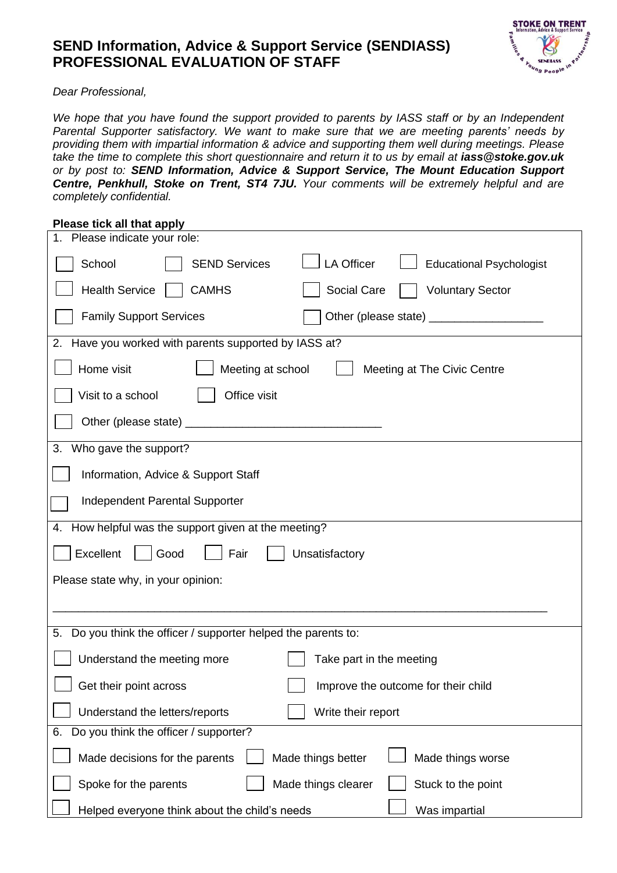## **SEND Information, Advice & Support Service (SENDIASS) PROFESSIONAL EVALUATION OF STAFF**



*Dear Professional,*

*We hope that you have found the support provided to parents by IASS staff or by an Independent Parental Supporter satisfactory. We want to make sure that we are meeting parents' needs by providing them with impartial information & advice and supporting them well during meetings. Please take the time to complete this short questionnaire and return it to us by email at [iass@stoke.gov.uk](mailto:iass@stoke.gov.uk) or by post to: SEND Information, Advice & Support Service, The Mount Education Support Centre, Penkhull, Stoke on Trent, ST4 7JU. Your comments will be extremely helpful and are completely confidential.* 

## **Please tick all that apply**

| Please indicate your role:<br>1.                                                       |
|----------------------------------------------------------------------------------------|
| <b>LA Officer</b><br>School<br><b>SEND Services</b><br><b>Educational Psychologist</b> |
| <b>Health Service</b><br><b>CAMHS</b><br>Social Care<br><b>Voluntary Sector</b>        |
| <b>Family Support Services</b>                                                         |
| 2. Have you worked with parents supported by IASS at?                                  |
| Home visit<br>Meeting at school<br>Meeting at The Civic Centre                         |
| Office visit<br>Visit to a school                                                      |
|                                                                                        |
| Who gave the support?<br>3.                                                            |
| Information, Advice & Support Staff                                                    |
| <b>Independent Parental Supporter</b>                                                  |
| 4. How helpful was the support given at the meeting?                                   |
| Excellent<br>Good<br>Fair<br>Unsatisfactory                                            |
| Please state why, in your opinion:                                                     |
|                                                                                        |
| Do you think the officer / supporter helped the parents to:<br>5.                      |
|                                                                                        |
| Understand the meeting more<br>Take part in the meeting                                |
| Get their point across<br>Improve the outcome for their child                          |
| Understand the letters/reports<br>Write their report                                   |
| Do you think the officer / supporter?<br>6.                                            |
| Made decisions for the parents<br>Made things better<br>Made things worse              |
| Stuck to the point<br>Spoke for the parents<br>Made things clearer                     |
| Was impartial<br>Helped everyone think about the child's needs                         |